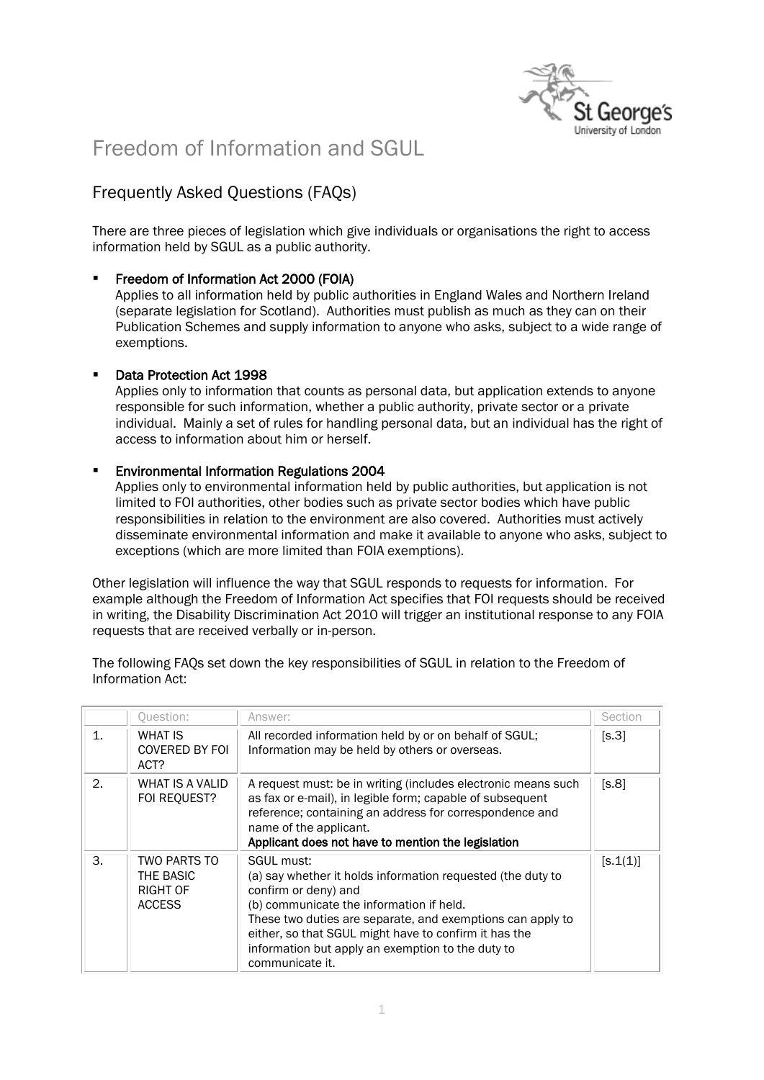

# Freedom of Information and SGUL

# Frequently Asked Questions (FAQs)

There are three pieces of legislation which give individuals or organisations the right to access information held by SGUL as a public authority.

## **Freedom of Information Act 2000 (FOIA)**

Applies to all information held by public authorities in England Wales and Northern Ireland (separate legislation for Scotland). Authorities must publish as much as they can on their Publication Schemes and supply information to anyone who asks, subject to a wide range of exemptions.

## Data Protection Act 1998

Applies only to information that counts as personal data, but application extends to anyone responsible for such information, whether a public authority, private sector or a private individual. Mainly a set of rules for handling personal data, but an individual has the right of access to information about him or herself.

## **Environmental Information Regulations 2004**

Applies only to environmental information held by public authorities, but application is not limited to FOI authorities, other bodies such as private sector bodies which have public responsibilities in relation to the environment are also covered. Authorities must actively disseminate environmental information and make it available to anyone who asks, subject to exceptions (which are more limited than FOIA exemptions).

Other legislation will influence the way that SGUL responds to requests for information. For example although the Freedom of Information Act specifies that FOI requests should be received in writing, the Disability Discrimination Act 2010 will trigger an institutional response to any FOIA requests that are received verbally or in-person.

The following FAQs set down the key responsibilities of SGUL in relation to the Freedom of Information Act:

|                | <b>Question:</b>                                       | Answer:                                                                                                                                                                                                                                                                                                                                      | Section  |
|----------------|--------------------------------------------------------|----------------------------------------------------------------------------------------------------------------------------------------------------------------------------------------------------------------------------------------------------------------------------------------------------------------------------------------------|----------|
| $\mathbf{1}$ . | <b>WHAT IS</b><br><b>COVERED BY FOI</b><br>ACT?        | All recorded information held by or on behalf of SGUL;<br>Information may be held by others or overseas.                                                                                                                                                                                                                                     | [s.3]    |
| 2.             | WHAT IS A VALID<br>FOI REQUEST?                        | A request must: be in writing (includes electronic means such<br>as fax or e-mail), in legible form; capable of subsequent<br>reference; containing an address for correspondence and<br>name of the applicant.<br>Applicant does not have to mention the legislation                                                                        | [s.8]    |
| 3.             | TWO PARTS TO<br>THE BASIC<br>RIGHT OF<br><b>ACCESS</b> | SGUL must:<br>(a) say whether it holds information requested (the duty to<br>confirm or deny) and<br>(b) communicate the information if held.<br>These two duties are separate, and exemptions can apply to<br>either, so that SGUL might have to confirm it has the<br>information but apply an exemption to the duty to<br>communicate it. | [s.1(1)] |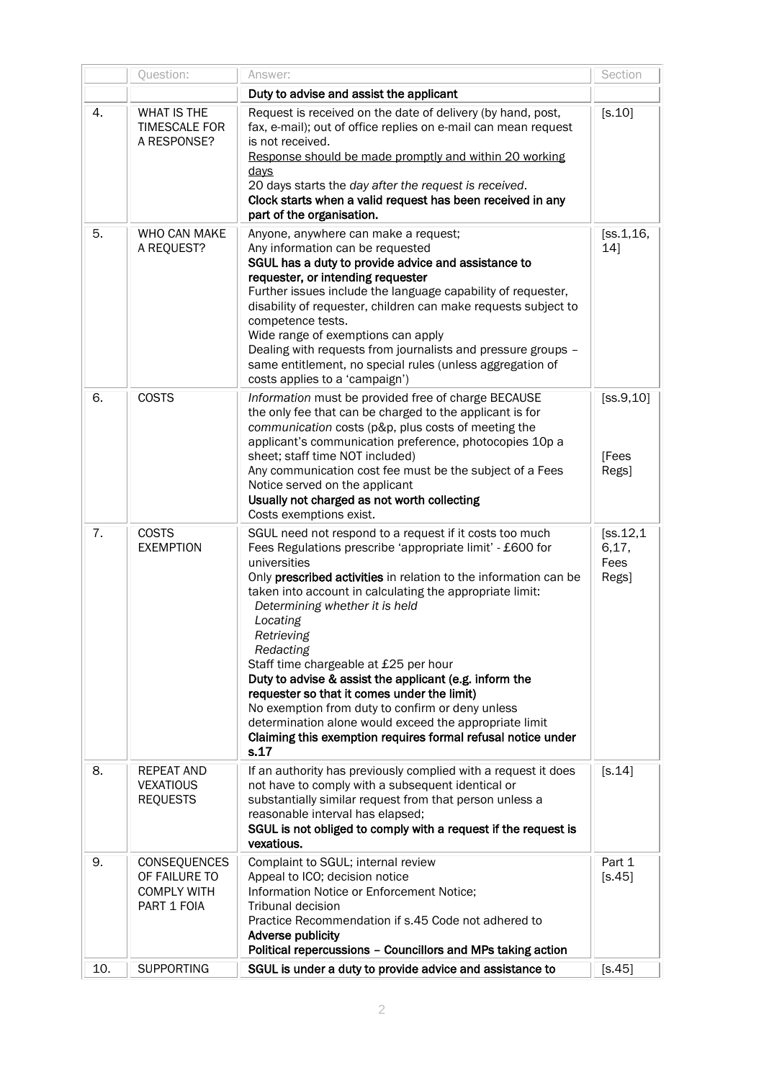|     | Question:                                                                 | Answer:                                                                                                                                                                                                                                                                                                                                                                                                                                                                                                                                                                                                                                                                               | Section                              |
|-----|---------------------------------------------------------------------------|---------------------------------------------------------------------------------------------------------------------------------------------------------------------------------------------------------------------------------------------------------------------------------------------------------------------------------------------------------------------------------------------------------------------------------------------------------------------------------------------------------------------------------------------------------------------------------------------------------------------------------------------------------------------------------------|--------------------------------------|
|     |                                                                           | Duty to advise and assist the applicant                                                                                                                                                                                                                                                                                                                                                                                                                                                                                                                                                                                                                                               |                                      |
| 4.  | WHAT IS THE<br><b>TIMESCALE FOR</b><br>A RESPONSE?                        | Request is received on the date of delivery (by hand, post,<br>fax, e-mail); out of office replies on e-mail can mean request<br>is not received.<br>Response should be made promptly and within 20 working<br>days<br>20 days starts the day after the request is received.<br>Clock starts when a valid request has been received in any<br>part of the organisation.                                                                                                                                                                                                                                                                                                               | $[<.10]$                             |
| 5.  | WHO CAN MAKE<br>A REQUEST?                                                | Anyone, anywhere can make a request;<br>Any information can be requested<br>SGUL has a duty to provide advice and assistance to<br>requester, or intending requester<br>Further issues include the language capability of requester,<br>disability of requester, children can make requests subject to<br>competence tests.<br>Wide range of exemptions can apply<br>Dealing with requests from journalists and pressure groups -<br>same entitlement, no special rules (unless aggregation of<br>costs applies to a 'campaign')                                                                                                                                                      | [ss.1, 16,<br>14]                    |
| 6.  | <b>COSTS</b>                                                              | Information must be provided free of charge BECAUSE<br>the only fee that can be charged to the applicant is for<br>communication costs (p&p, plus costs of meeting the<br>applicant's communication preference, photocopies 10p a<br>sheet; staff time NOT included)<br>Any communication cost fee must be the subject of a Fees<br>Notice served on the applicant<br>Usually not charged as not worth collecting<br>Costs exemptions exist.                                                                                                                                                                                                                                          | [ss.9, 10]<br>[Fees<br>Regs]         |
| 7.  | <b>COSTS</b><br><b>EXEMPTION</b>                                          | SGUL need not respond to a request if it costs too much<br>Fees Regulations prescribe 'appropriate limit' - £600 for<br>universities<br>Only prescribed activities in relation to the information can be<br>taken into account in calculating the appropriate limit:<br>Determining whether it is held<br>Locating<br>Retrieving<br>Redacting<br>Staff time chargeable at £25 per hour<br>Duty to advise & assist the applicant (e.g. inform the<br>requester so that it comes under the limit)<br>No exemption from duty to confirm or deny unless<br>determination alone would exceed the appropriate limit<br>Claiming this exemption requires formal refusal notice under<br>s.17 | [ss.12,1]<br>6, 17,<br>Fees<br>Regs] |
| 8.  | <b>REPEAT AND</b><br><b>VEXATIOUS</b><br><b>REQUESTS</b>                  | If an authority has previously complied with a request it does<br>not have to comply with a subsequent identical or<br>substantially similar request from that person unless a<br>reasonable interval has elapsed;<br>SGUL is not obliged to comply with a request if the request is<br>vexatious.                                                                                                                                                                                                                                                                                                                                                                                    | [ <b>s</b> .14]                      |
| 9.  | <b>CONSEQUENCES</b><br>OF FAILURE TO<br><b>COMPLY WITH</b><br>PART 1 FOIA | Complaint to SGUL; internal review<br>Appeal to ICO; decision notice<br>Information Notice or Enforcement Notice;<br>Tribunal decision<br>Practice Recommendation if s.45 Code not adhered to<br>Adverse publicity<br>Political repercussions - Councillors and MPs taking action                                                                                                                                                                                                                                                                                                                                                                                                     | Part 1<br>$[S.45]$                   |
| 10. | <b>SUPPORTING</b>                                                         | SGUL is under a duty to provide advice and assistance to                                                                                                                                                                                                                                                                                                                                                                                                                                                                                                                                                                                                                              | [s.45]                               |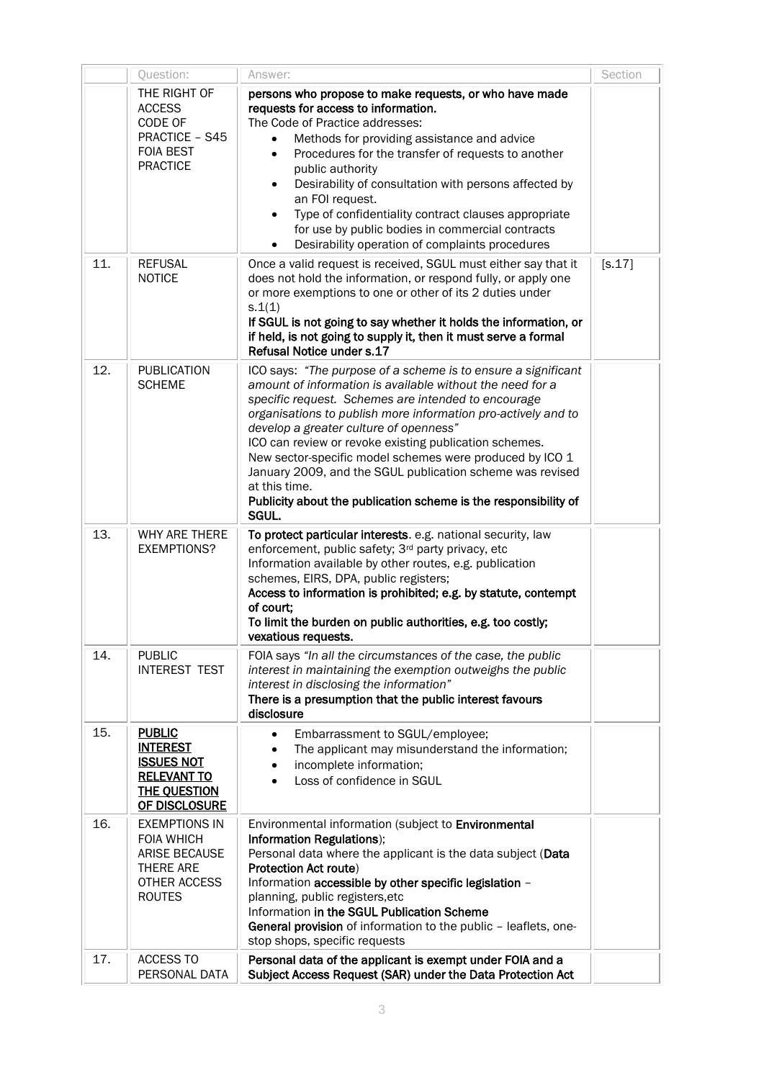|     | Question:                                                                                                                            | Answer:                                                                                                                                                                                                                                                                                                                                                                                                                                                                                                                                                                                                                                              | Section  |
|-----|--------------------------------------------------------------------------------------------------------------------------------------|------------------------------------------------------------------------------------------------------------------------------------------------------------------------------------------------------------------------------------------------------------------------------------------------------------------------------------------------------------------------------------------------------------------------------------------------------------------------------------------------------------------------------------------------------------------------------------------------------------------------------------------------------|----------|
| 11. | THE RIGHT OF<br><b>ACCESS</b><br>CODE OF<br>PRACTICE - S45<br><b>FOIA BEST</b><br><b>PRACTICE</b><br><b>REFUSAL</b><br><b>NOTICE</b> | persons who propose to make requests, or who have made<br>requests for access to information.<br>The Code of Practice addresses:<br>Methods for providing assistance and advice<br>Procedures for the transfer of requests to another<br>$\bullet$<br>public authority<br>Desirability of consultation with persons affected by<br>an FOI request.<br>Type of confidentiality contract clauses appropriate<br>for use by public bodies in commercial contracts<br>Desirability operation of complaints procedures<br>Once a valid request is received, SGUL must either say that it<br>does not hold the information, or respond fully, or apply one | $[5.17]$ |
|     |                                                                                                                                      | or more exemptions to one or other of its 2 duties under<br>S.1(1)<br>If SGUL is not going to say whether it holds the information, or<br>if held, is not going to supply it, then it must serve a formal<br>Refusal Notice under s.17                                                                                                                                                                                                                                                                                                                                                                                                               |          |
| 12. | <b>PUBLICATION</b><br><b>SCHEME</b>                                                                                                  | ICO says: "The purpose of a scheme is to ensure a significant<br>amount of information is available without the need for a<br>specific request. Schemes are intended to encourage<br>organisations to publish more information pro-actively and to<br>develop a greater culture of openness"<br>ICO can review or revoke existing publication schemes.<br>New sector-specific model schemes were produced by ICO 1<br>January 2009, and the SGUL publication scheme was revised<br>at this time.<br>Publicity about the publication scheme is the responsibility of<br>SGUL.                                                                         |          |
| 13. | WHY ARE THERE<br><b>EXEMPTIONS?</b>                                                                                                  | To protect particular interests. e.g. national security, law<br>enforcement, public safety; 3 <sup>rd</sup> party privacy, etc<br>Information available by other routes, e.g. publication<br>schemes, EIRS, DPA, public registers;<br>Access to information is prohibited; e.g. by statute, contempt<br>of court;<br>To limit the burden on public authorities, e.g. too costly;<br>vexatious requests.                                                                                                                                                                                                                                              |          |
| 14. | <b>PUBLIC</b><br><b>INTEREST TEST</b>                                                                                                | FOIA says "In all the circumstances of the case, the public<br>interest in maintaining the exemption outweighs the public<br>interest in disclosing the information"<br>There is a presumption that the public interest favours<br>disclosure                                                                                                                                                                                                                                                                                                                                                                                                        |          |
| 15. | <b>PUBLIC</b><br><b>INTEREST</b><br><b>ISSUES NOT</b><br><b>RELEVANT TO</b><br><b>THE OUESTION</b><br>OF DISCLOSURE                  | Embarrassment to SGUL/employee;<br>$\bullet$<br>The applicant may misunderstand the information;<br>incomplete information;<br>Loss of confidence in SGUL                                                                                                                                                                                                                                                                                                                                                                                                                                                                                            |          |
| 16. | <b>EXEMPTIONS IN</b><br><b>FOIA WHICH</b><br><b>ARISE BECAUSE</b><br>THERE ARE<br>OTHER ACCESS<br><b>ROUTES</b>                      | Environmental information (subject to Environmental<br>Information Regulations);<br>Personal data where the applicant is the data subject (Data<br>Protection Act route)<br>Information accessible by other specific legislation -<br>planning, public registers, etc<br>Information in the SGUL Publication Scheme<br>General provision of information to the public - leaflets, one-<br>stop shops, specific requests                                                                                                                                                                                                                              |          |
| 17. | <b>ACCESS TO</b><br>PERSONAL DATA                                                                                                    | Personal data of the applicant is exempt under FOIA and a<br>Subject Access Request (SAR) under the Data Protection Act                                                                                                                                                                                                                                                                                                                                                                                                                                                                                                                              |          |